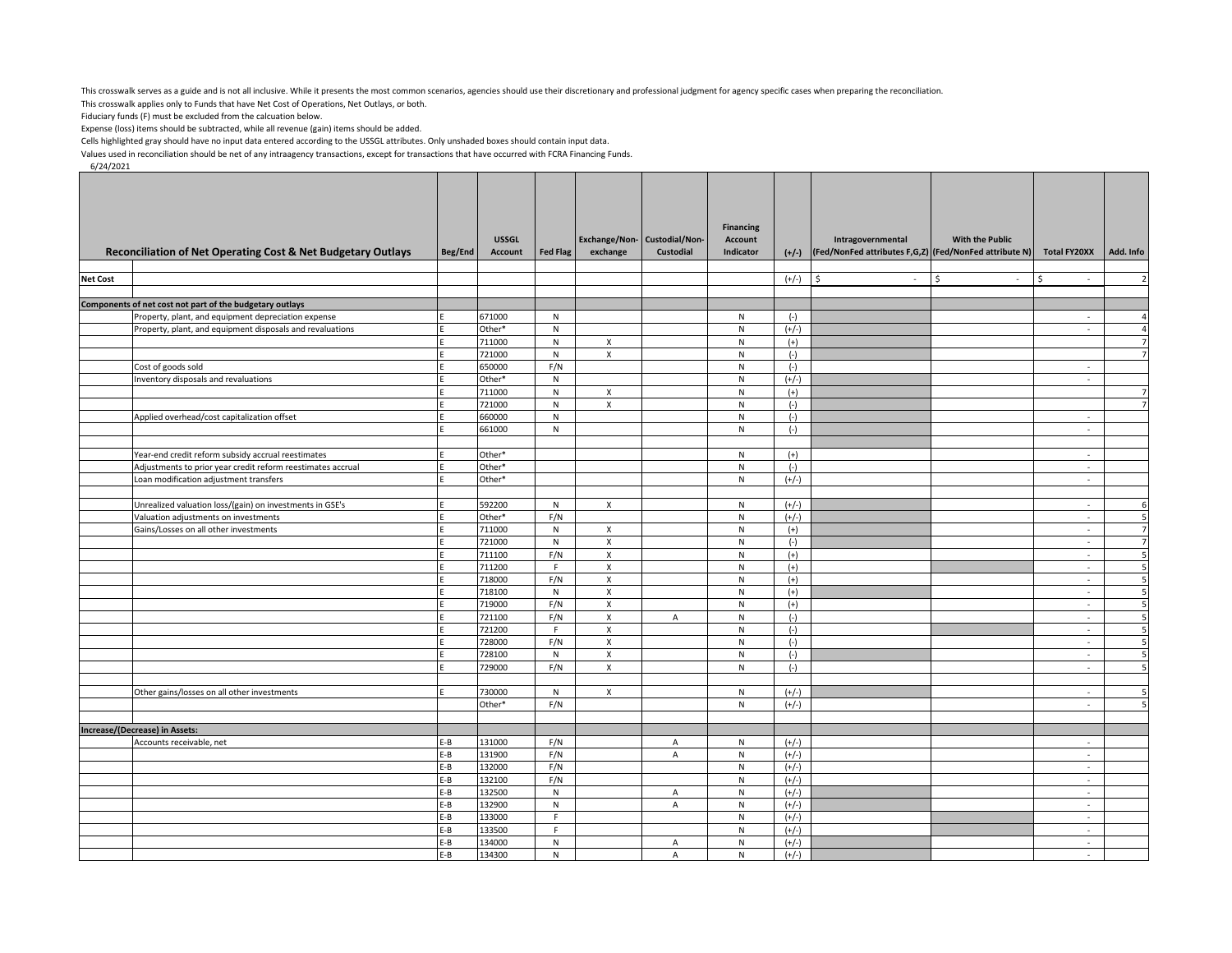This crosswalk serves as a guide and is not all inclusive. While it presents the most common scenarios, agencies should use their discretionary and professional judgment for agency specific cases when preparing the reconci

This crosswalk applies only to Funds that have Net Cost of Operations, Net Outlays, or both.

Fiduciary funds (F) must be excluded from the calcuation below.

Expense (loss) items should be subtracted, while all revenue (gain) items should be added.

Cells highlighted gray should have no input data entered according to the USSGL attributes. Only unshaded boxes should contain input data.

Values used in reconciliation should be net of any intraagency transactions, except for transactions that have occurred with FCRA Financing Funds.

6/24/2021

|                 |                                                                               |              |                                |                 |                                    |                                                 | <b>Financing</b>            |                    |                                                                                   |                        |                     |                |
|-----------------|-------------------------------------------------------------------------------|--------------|--------------------------------|-----------------|------------------------------------|-------------------------------------------------|-----------------------------|--------------------|-----------------------------------------------------------------------------------|------------------------|---------------------|----------------|
|                 | Reconciliation of Net Operating Cost & Net Budgetary Outlays                  | Beg/End      | <b>USSGL</b><br><b>Account</b> | <b>Fed Flag</b> | exchange                           | Exchange/Non-Custodial/Non-<br><b>Custodial</b> | <b>Account</b><br>Indicator |                    | Intragovernmental<br>(+/-) (Fed/NonFed attributes F,G,Z) (Fed/NonFed attribute N) | <b>With the Public</b> | <b>Total FY20XX</b> | Add. Info      |
|                 |                                                                               |              |                                |                 |                                    |                                                 |                             |                    |                                                                                   |                        |                     |                |
| <b>Net Cost</b> |                                                                               |              |                                |                 |                                    |                                                 |                             | $(+/-)$            | l \$<br>$\sim$                                                                    | Ŝ.<br>$\sim$           | Ŝ<br>$\sim$         | $\overline{z}$ |
|                 |                                                                               |              |                                |                 |                                    |                                                 |                             |                    |                                                                                   |                        |                     |                |
|                 | Components of net cost not part of the budgetary outlays                      |              |                                |                 |                                    |                                                 |                             |                    |                                                                                   |                        |                     |                |
|                 | Property, plant, and equipment depreciation expense                           |              | 671000                         | ${\sf N}$       |                                    |                                                 | ${\sf N}$                   | $(-)$              |                                                                                   |                        | $\epsilon$          | $\overline{a}$ |
|                 | Property, plant, and equipment disposals and revaluations                     |              | Other*                         | ${\sf N}$       |                                    |                                                 | ${\sf N}$                   | $(+/-)$            |                                                                                   |                        | $\sim$              | $\overline{4}$ |
|                 |                                                                               |              | 711000                         | N               | $\mathsf{x}$                       |                                                 | ${\sf N}$                   | $(+)$              |                                                                                   |                        |                     | $\overline{7}$ |
|                 |                                                                               |              | 721000                         | N               | X                                  |                                                 | ${\sf N}$                   | $(-)$              |                                                                                   |                        |                     | $\overline{7}$ |
|                 | Cost of goods sold<br>Inventory disposals and revaluations                    |              | 650000<br>Other*               | F/N<br>N        |                                    |                                                 | ${\sf N}$<br>$\overline{N}$ | $(-)$<br>$(+/-)$   |                                                                                   |                        | $\sim$<br>$\sim$    |                |
|                 |                                                                               |              | 711000                         | ${\sf N}$       | $\mathsf{X}$                       |                                                 | $\mathsf{N}$                | $(+)$              |                                                                                   |                        |                     | $\overline{7}$ |
|                 |                                                                               |              | 721000                         | N               | $\pmb{\mathsf{X}}$                 |                                                 | ${\sf N}$                   | $(-)$              |                                                                                   |                        |                     | $\overline{7}$ |
|                 | Applied overhead/cost capitalization offset                                   |              | 660000                         | N               |                                    |                                                 | ${\sf N}$                   | $(-)$              |                                                                                   |                        | ×                   |                |
|                 |                                                                               |              | 661000                         | N               |                                    |                                                 | N                           | $(-)$              |                                                                                   |                        | $\sim$              |                |
|                 |                                                                               |              |                                |                 |                                    |                                                 |                             |                    |                                                                                   |                        |                     |                |
|                 | Year-end credit reform subsidy accrual reestimates                            |              | Other*                         |                 |                                    |                                                 | ${\sf N}$                   | $(+)$              |                                                                                   |                        | $\sim$              |                |
|                 | Adjustments to prior year credit reform reestimates accrual                   |              | Other*                         |                 |                                    |                                                 | ${\sf N}$                   | $(-)$              |                                                                                   |                        | $\sim$              |                |
|                 | Loan modification adjustment transfers                                        |              | Other*                         |                 |                                    |                                                 | ${\sf N}$                   | $(+/-)$            |                                                                                   |                        | $\sim$              |                |
|                 |                                                                               |              |                                |                 |                                    |                                                 |                             |                    |                                                                                   |                        |                     |                |
|                 | Unrealized valuation loss/(gain) on investments in GSE's                      |              | 592200                         | N               | $\mathsf{x}$                       |                                                 | ${\sf N}$                   | $(+/-)$            |                                                                                   |                        | $\sim$<br>$\sim$    | 6<br>5         |
|                 | Valuation adjustments on investments<br>Gains/Losses on all other investments |              | Other*<br>711000               | F/N<br>N        | X                                  |                                                 | ${\sf N}$<br>${\sf N}$      | $(+/-)$<br>$(+)$   |                                                                                   |                        | $\sim$              | $\overline{7}$ |
|                 |                                                                               |              | 721000                         | N               | $\mathsf{x}$                       |                                                 | N                           | $(-)$              |                                                                                   |                        | $\sim$              | $\overline{7}$ |
|                 |                                                                               |              | 711100                         | F/N             | $\mathsf X$                        |                                                 | ${\sf N}$                   | $(+)$              |                                                                                   |                        | $\sim$              | 5              |
|                 |                                                                               |              | 711200                         | F.              | $\mathsf{X}$                       |                                                 | $\mathsf{N}$                | $(+)$              |                                                                                   |                        | $\sim$              | 5              |
|                 |                                                                               |              | 718000                         | F/N             | $\mathsf{x}$                       |                                                 | ${\sf N}$                   | $(+)$              |                                                                                   |                        | $\sim$              | 5              |
|                 |                                                                               |              | 718100                         | ${\sf N}$       | X                                  |                                                 | ${\sf N}$                   | $(+)$              |                                                                                   |                        | $\sim$              | 5              |
|                 |                                                                               |              | 719000                         | F/N             | $\pmb{\chi}$                       |                                                 | ${\sf N}$                   | $(+)$              |                                                                                   |                        | $\bar{z}$           | ç              |
|                 |                                                                               |              | 721100                         | F/N             | X                                  | A                                               | ${\sf N}$                   | $(-)$              |                                                                                   |                        | $\sim$              | 5              |
|                 |                                                                               |              | 721200                         | F.              | $\mathsf{x}$                       |                                                 | $\mathsf{N}$                | $(-)$              |                                                                                   |                        | $\sim$              | 5              |
|                 |                                                                               |              | 728000                         | F/N             | X                                  |                                                 | ${\sf N}$                   | $(-)$              |                                                                                   |                        | $\sim$              | 5<br>t,        |
|                 |                                                                               |              | 728100                         | ${\sf N}$       | $\pmb{\mathsf{X}}$<br>$\mathsf{x}$ |                                                 | ${\sf N}$<br>${\sf N}$      | $(-)$              |                                                                                   |                        | $\bar{z}$<br>$\sim$ |                |
|                 |                                                                               |              | 729000                         | F/N             |                                    |                                                 |                             | $(-)$              |                                                                                   |                        |                     |                |
|                 | Other gains/losses on all other investments                                   |              | 730000                         | ${\sf N}$       | $\mathsf{x}$                       |                                                 | ${\sf N}$                   | $(+/-)$            |                                                                                   |                        | $\sim$              | 5              |
|                 |                                                                               |              | Other*                         | F/N             |                                    |                                                 | N                           | $(+/-)$            |                                                                                   |                        | ×                   | <b>S</b>       |
|                 |                                                                               |              |                                |                 |                                    |                                                 |                             |                    |                                                                                   |                        |                     |                |
|                 | Increase/(Decrease) in Assets:                                                |              |                                |                 |                                    |                                                 |                             |                    |                                                                                   |                        |                     |                |
|                 | Accounts receivable, net                                                      | E-B          | 131000                         | F/N             |                                    | A                                               | ${\sf N}$                   | $(+/-)$            |                                                                                   |                        | $\sim$              |                |
|                 |                                                                               | E-B          | 131900                         | F/N             |                                    | A                                               | ${\sf N}$                   | $(+/-)$            |                                                                                   |                        | $\sim$              |                |
|                 |                                                                               | $E-B$        | 132000                         | F/N             |                                    |                                                 | ${\sf N}$                   | $(+/-)$            |                                                                                   |                        | $\sim$              |                |
|                 |                                                                               | E-B          | 132100                         | F/N             |                                    |                                                 | ${\sf N}$                   | $(+/-)$            |                                                                                   |                        | $\sim$              |                |
|                 |                                                                               | $E-B$        | 132500                         | ${\sf N}$       |                                    | A                                               | ${\sf N}$                   | $(+/-)$            |                                                                                   |                        | $\sim$<br>$\sim$    |                |
|                 |                                                                               | E-B<br>$E-B$ | 132900<br>133000               | ${\sf N}$<br>F  |                                    | A                                               | ${\sf N}$<br>${\sf N}$      | $(+/-)$<br>$(+/-)$ |                                                                                   |                        | $\sim$              |                |
|                 |                                                                               | E-B          | 133500                         | F.              |                                    |                                                 | $\mathsf{N}$                | $(+/-)$            |                                                                                   |                        | $\sim$              |                |
|                 |                                                                               | E-B          | 134000                         | N               |                                    | A                                               | ${\sf N}$                   | $(+/-)$            |                                                                                   |                        | $\sim$              |                |
|                 |                                                                               | $E-B$        | 134300                         | ${\sf N}$       |                                    | A                                               | ${\sf N}$                   | $(+/-)$            |                                                                                   |                        | in 1                |                |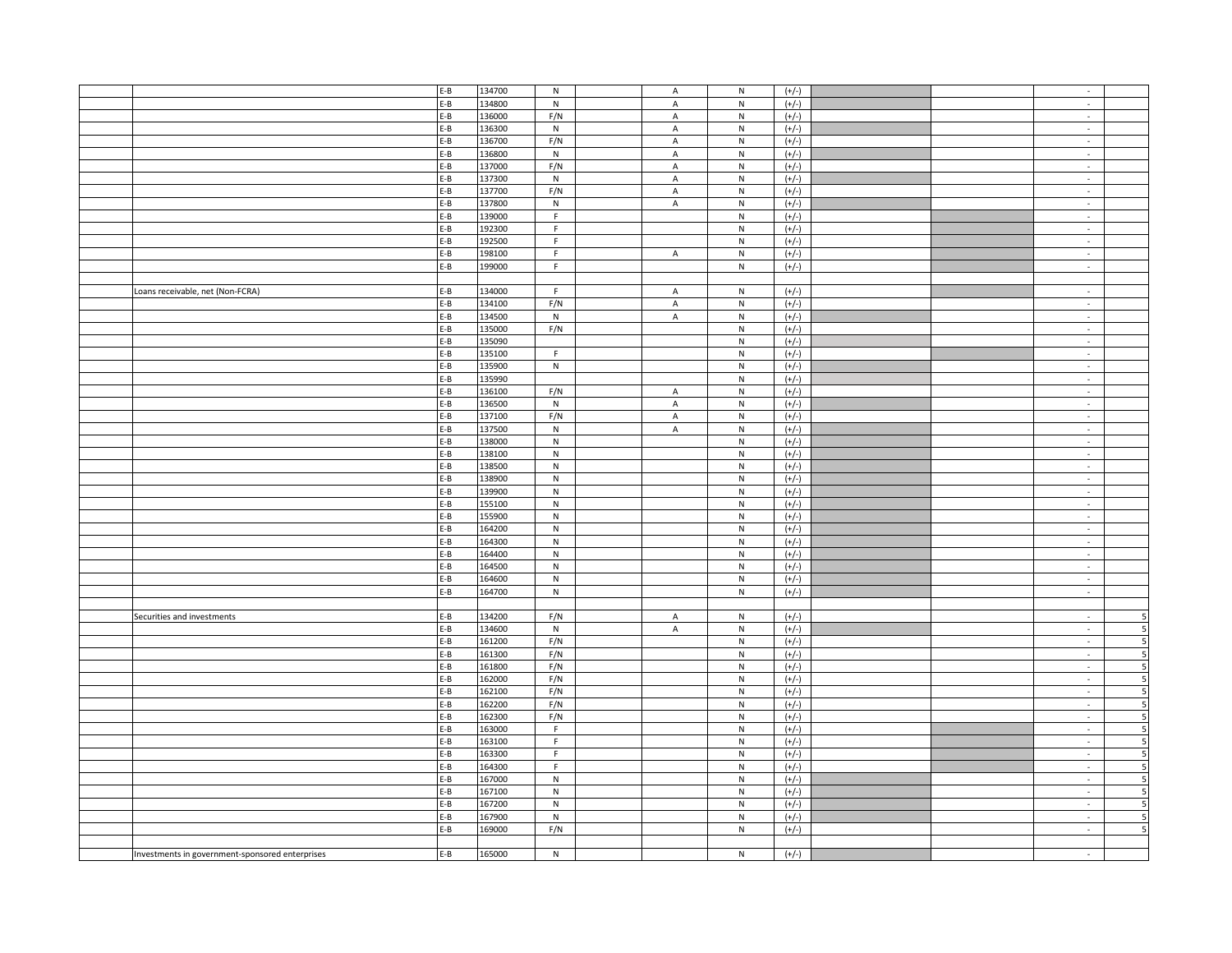|                                                 | $E-B$ | 134700 | N                       | A                         | N                       | $(+/-)$ |  | $\mathcal{L}_{\mathcal{A}}$ |                          |
|-------------------------------------------------|-------|--------|-------------------------|---------------------------|-------------------------|---------|--|-----------------------------|--------------------------|
|                                                 | E-B   | 134800 | N                       | $\mathsf A$               | N                       | $(+/-)$ |  | $\sim$                      |                          |
|                                                 | E-B   | 136000 | F/N                     | $\boldsymbol{\mathsf{A}}$ | ${\sf N}$               | $(+/-)$ |  | $\sim$                      |                          |
|                                                 | E-B   | 136300 | ${\sf N}$               | $\mathsf A$               | ${\sf N}$               | $(+/-)$ |  | $\sim$                      |                          |
|                                                 | $E-B$ | 136700 | F/N                     | A                         | ${\sf N}$               | $(+/-)$ |  | $\sim$                      |                          |
|                                                 | $E-B$ | 136800 | N                       | $\mathsf A$               | ${\sf N}$               | $(+/-)$ |  | $\sim$                      |                          |
|                                                 | E-B   | 137000 | F/N                     | A                         | ${\sf N}$               | $(+/-)$ |  | $\sim$                      |                          |
|                                                 |       |        |                         |                           |                         |         |  |                             |                          |
|                                                 | E-B   | 137300 | ${\sf N}$               | $\boldsymbol{\mathsf{A}}$ | ${\sf N}$               | $(+/-)$ |  | $\mathcal{L}_{\mathcal{A}}$ |                          |
|                                                 | E-B   | 137700 | F/N                     | A                         | ${\sf N}$               | $(+/-)$ |  | $\sim$                      |                          |
|                                                 | $E-B$ | 137800 | ${\sf N}$               | $\mathsf A$               | ${\sf N}$               | $(+/-)$ |  | $\sim$                      |                          |
|                                                 | $E-B$ | 139000 | $\mathsf F$             |                           | ${\sf N}$               | $(+/-)$ |  | $\sim$                      |                          |
|                                                 | $E-B$ | 192300 | F                       |                           | ${\sf N}$               | $(+/-)$ |  | $\sim$                      |                          |
|                                                 | $E-B$ | 192500 | $\overline{\mathsf{F}}$ |                           | $\overline{\mathsf{N}}$ | $(+/-)$ |  | $\sim$                      |                          |
|                                                 | $E-B$ | 198100 | F.                      | A                         | ${\sf N}$               | $(+/-)$ |  | $\sim$                      |                          |
|                                                 | $E-B$ | 199000 | $\mathsf F$             |                           | ${\sf N}$               | $(+/-)$ |  | $\sim$                      |                          |
|                                                 |       |        |                         |                           |                         |         |  |                             |                          |
| Loans receivable, net (Non-FCRA)                | $E-B$ | 134000 | F.                      | A                         | N                       | $(+/-)$ |  | $\sim$                      |                          |
|                                                 | $E-B$ | 134100 | F/N                     | $\boldsymbol{\mathsf{A}}$ | $\mathsf N$             | $(+/-)$ |  | $\sim$                      |                          |
|                                                 | $E-B$ | 134500 | ${\sf N}$               |                           | ${\sf N}$               | $(+/-)$ |  |                             |                          |
|                                                 |       |        |                         | A                         |                         |         |  | $\sim$                      |                          |
|                                                 | $E-B$ | 135000 | F/N                     |                           | ${\sf N}$               | $(+/-)$ |  | $\mathcal{L}$               |                          |
|                                                 | $E-B$ | 135090 |                         |                           | ${\sf N}$               | $(+/-)$ |  | $\sim$                      |                          |
|                                                 | $E-B$ | 135100 | F.                      |                           | ${\sf N}$               | $(+/-)$ |  | $\sim$                      |                          |
|                                                 | E-B   | 135900 | ${\sf N}$               |                           | ${\sf N}$               | $(+/-)$ |  | $\sim$                      |                          |
|                                                 | E-B   | 135990 |                         |                           | ${\sf N}$               | $(+/-)$ |  | $\sim$                      |                          |
|                                                 | $E-B$ | 136100 | F/N                     | $\mathsf A$               | ${\sf N}$               | $(+/-)$ |  | $\mathcal{L}$               |                          |
|                                                 | $E-B$ | 136500 | N                       | $\mathsf A$               | ${\sf N}$               | $(+/-)$ |  | $\sim$                      |                          |
|                                                 | $E-B$ | 137100 | F/N                     | $\mathsf A$               | ${\sf N}$               | $(+/-)$ |  | $\sim$                      |                          |
|                                                 | $E-B$ | 137500 | ${\sf N}$               | $\mathsf A$               | ${\sf N}$               | $(+/-)$ |  | $\mathcal{L}_{\mathcal{A}}$ |                          |
|                                                 | E-B   | 138000 | ${\sf N}$               |                           | ${\sf N}$               | $(+/-)$ |  | $\sim$                      |                          |
|                                                 | $E-B$ | 138100 | ${\sf N}$               |                           | ${\sf N}$               | $(+/-)$ |  | $\sim$                      |                          |
|                                                 | $E-B$ | 138500 | ${\sf N}$               |                           | ${\sf N}$               | $(+/-)$ |  | $\sim$                      |                          |
|                                                 | $E-B$ | 138900 | ${\sf N}$               |                           | ${\sf N}$               | $(+/-)$ |  | $\sim$                      |                          |
|                                                 | $E-B$ | 139900 | $\overline{\mathsf{N}}$ |                           | $\overline{\mathsf{N}}$ | $(+/-)$ |  | $\mathcal{L}_{\mathcal{A}}$ |                          |
|                                                 | E-B   | 155100 | ${\sf N}$               |                           | ${\sf N}$               | $(+/-)$ |  | $\sim$                      |                          |
|                                                 | $E-B$ | 155900 | ${\sf N}$               |                           | ${\sf N}$               | $(+/-)$ |  | $\sim$                      |                          |
|                                                 | E-B   | 164200 | ${\sf N}$               |                           | ${\sf N}$               | $(+/-)$ |  | $\mathcal{L}$               |                          |
|                                                 |       | 164300 | ${\sf N}$               |                           | ${\sf N}$               |         |  | $\sim$                      |                          |
|                                                 | $E-B$ |        |                         |                           |                         | $(+/-)$ |  |                             |                          |
|                                                 | $E-B$ | 164400 | $\mathsf{N}$            |                           | ${\sf N}$               | $(+/-)$ |  | $\mathcal{L}_{\mathcal{A}}$ |                          |
|                                                 | $E-B$ | 164500 | ${\sf N}$               |                           | ${\sf N}$               | $(+/-)$ |  | $\sim$                      |                          |
|                                                 | $E-B$ | 164600 | ${\sf N}$               |                           | ${\sf N}$               | $(+/-)$ |  | $\mathcal{L}$               |                          |
|                                                 | $E-B$ | 164700 | ${\sf N}$               |                           | ${\sf N}$               | $(+/-)$ |  | $\mathcal{L}$               |                          |
|                                                 |       |        |                         |                           |                         |         |  |                             |                          |
| Securities and investments                      | E-B   | 134200 | F/N                     | A                         | ${\sf N}$               | $(+/-)$ |  | $\sim$                      | 5                        |
|                                                 | E-B   | 134600 | ${\sf N}$               | $\mathsf A$               | ${\sf N}$               | $(+/-)$ |  | $\sim$                      | 5                        |
|                                                 | $E-B$ | 161200 | F/N                     |                           | ${\sf N}$               | $(+/-)$ |  | $\sim$                      | 5                        |
|                                                 | $E-B$ | 161300 | F/N                     |                           | ${\sf N}$               | $(+/-)$ |  | $\sim$                      | 5                        |
|                                                 | $E-B$ | 161800 | F/N                     |                           | ${\sf N}$               | $(+/-)$ |  | $\sim$                      | 5                        |
|                                                 | $E-B$ | 162000 | F/N                     |                           | ${\sf N}$               | $(+/-)$ |  | $\sim$                      | 5                        |
|                                                 | E-B   | 162100 | F/N                     |                           | ${\sf N}$               | $(+/-)$ |  | $\sim$                      | $\overline{\phantom{a}}$ |
|                                                 | $E-B$ | 162200 | F/N                     |                           | ${\sf N}$               | $(+/-)$ |  | $\mathcal{L}$               | $\overline{\phantom{a}}$ |
|                                                 | $E-B$ | 162300 | F/N                     |                           | ${\sf N}$               | $(+/-)$ |  | $\sim$                      | 5                        |
|                                                 | $E-B$ | 163000 | F.                      |                           | ${\sf N}$               | $(+/-)$ |  | $\sim$                      | $5\phantom{.0}$          |
|                                                 | $E-B$ | 163100 | $\mathsf F$             |                           | ${\sf N}$               | $(+/-)$ |  | $\omega$                    | $\overline{\phantom{a}}$ |
|                                                 | E-B   | 163300 | $\mathsf F$             |                           | ${\sf N}$               | $(+/-)$ |  |                             | $5\overline{5}$          |
|                                                 | $E-B$ | 164300 | F                       |                           | ${\sf N}$               | $(+/-)$ |  | $\sim$<br>$\sim$            | $5\overline{5}$          |
|                                                 |       |        |                         |                           |                         |         |  |                             |                          |
|                                                 | $E-B$ | 167000 | ${\sf N}$               |                           | ${\sf N}$               | $(+/-)$ |  | $\sim$                      | $\overline{\phantom{a}}$ |
|                                                 | $E-B$ | 167100 | ${\sf N}$               |                           | ${\sf N}$               | $(+/-)$ |  | $\mathcal{L}_{\mathcal{A}}$ | $\overline{\phantom{a}}$ |
|                                                 | $E-B$ | 167200 | ${\sf N}$               |                           | ${\sf N}$               | $(+/-)$ |  | $\sim$                      | 5                        |
|                                                 | E-B   | 167900 | ${\sf N}$               |                           | ${\sf N}$               | $(+/-)$ |  | $\sim$                      | 5                        |
|                                                 | $E-B$ | 169000 | F/N                     |                           | ${\sf N}$               | $(+/-)$ |  | $\sim$                      | 5                        |
|                                                 |       |        |                         |                           |                         |         |  |                             |                          |
| Investments in government-sponsored enterprises | $E-B$ | 165000 | $\mathsf{N}$            |                           | ${\sf N}$               | $(+/-)$ |  | $\mathcal{L}$               |                          |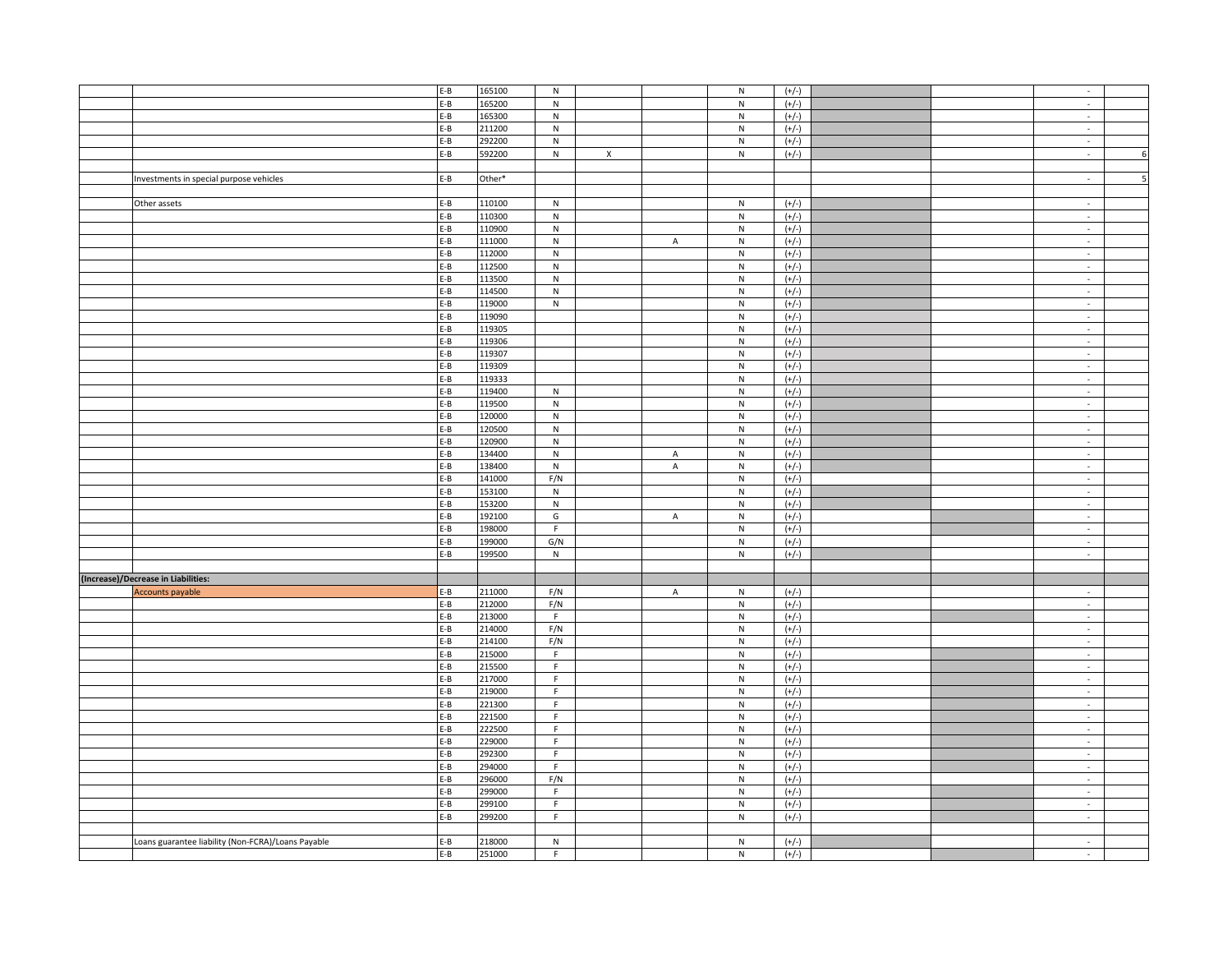|                                                    | $E-B$   | 165100 | ${\sf N}$               |                |             | ${\sf N}$               | $(+/-)$ |  | $\sim$                      |                |
|----------------------------------------------------|---------|--------|-------------------------|----------------|-------------|-------------------------|---------|--|-----------------------------|----------------|
|                                                    | $E-B$   | 165200 | ${\sf N}$               |                |             | ${\sf N}$               | $(+/-)$ |  | $\sim$                      |                |
|                                                    | $E-B$   | 165300 | ${\sf N}$               |                |             | ${\sf N}$               |         |  | $\sim$                      |                |
|                                                    |         |        |                         |                |             |                         | $(+/-)$ |  |                             |                |
|                                                    | $E-B$   | 211200 | ${\sf N}$               |                |             | ${\sf N}$               | $(+/-)$ |  | $\sim$                      |                |
|                                                    | $E-B$   | 292200 | N                       |                |             | ${\sf N}$               | $(+/-)$ |  | $\sim$                      |                |
|                                                    | $E-B$   | 592200 | $\overline{\mathsf{N}}$ | $\overline{X}$ |             | $\overline{\mathsf{N}}$ | $(+/-)$ |  | $\mathcal{L}$               | 6              |
|                                                    |         |        |                         |                |             |                         |         |  |                             |                |
| Investments in special purpose vehicles            | $E-B$   | Other* |                         |                |             |                         |         |  | $\sim$                      | $\overline{5}$ |
|                                                    |         |        |                         |                |             |                         |         |  |                             |                |
| Other assets                                       | $E-B$   | 110100 | N                       |                |             | ${\sf N}$               | $(+/-)$ |  | $\sim$                      |                |
|                                                    | $E-B$   | 110300 | $\overline{\mathsf{N}}$ |                |             | $\overline{N}$          | $(+/-)$ |  | $\sim$                      |                |
|                                                    | E-B     | 110900 | ${\sf N}$               |                |             | ${\sf N}$               | $(+/-)$ |  | $\sim$                      |                |
|                                                    | $E-B$   | 111000 | ${\sf N}$               |                | $\mathsf A$ | ${\sf N}$               | $(+/-)$ |  | $\sim$                      |                |
|                                                    |         |        |                         |                |             |                         |         |  |                             |                |
|                                                    | $E-B$   | 112000 | N                       |                |             | ${\sf N}$               | $(+/-)$ |  | $\sim$                      |                |
|                                                    | $E-B$   | 112500 | $\,$ N                  |                |             | ${\sf N}$               | $(+/-)$ |  | $\sim$                      |                |
|                                                    | $E-B$   | 113500 | N                       |                |             | ${\sf N}$               | $(+/-)$ |  | $\overline{\phantom{a}}$    |                |
|                                                    | E-B     | 114500 | ${\sf N}$               |                |             | ${\sf N}$               | $(+/-)$ |  | $\sim$                      |                |
|                                                    | $E-B$   | 119000 | ${\sf N}$               |                |             | ${\sf N}$               | $(+/-)$ |  | $\mathcal{L}$               |                |
|                                                    | $E-B$   | 119090 |                         |                |             | ${\sf N}$               | $(+/-)$ |  | $\sim$                      |                |
|                                                    | $E-B$   | 119305 |                         |                |             | ${\sf N}$               | $(+/-)$ |  | $\sim$                      |                |
|                                                    | E-B     | 119306 |                         |                |             | ${\sf N}$               | $(+/-)$ |  | ÷,                          |                |
|                                                    | E-B     | 119307 |                         |                |             | ${\sf N}$               | $(+/-)$ |  | $\sim$                      |                |
|                                                    | $E - B$ | 119309 |                         |                |             | ${\sf N}$               | $(+/-)$ |  | $\mathcal{L}$               |                |
|                                                    | E-B     | 119333 |                         |                |             | ${\sf N}$               | $(+/-)$ |  | $\sim$                      |                |
|                                                    | $E-B$   | 119400 | N                       |                |             | ${\sf N}$               | $(+/-)$ |  | $\sim$                      |                |
|                                                    | $E-B$   | 119500 | N                       |                |             | ${\sf N}$               | $(+/-)$ |  | $\sim$                      |                |
|                                                    |         |        |                         |                |             |                         |         |  |                             |                |
|                                                    | $E-B$   | 120000 | ${\sf N}$               |                |             | ${\sf N}$               | $(+/-)$ |  | $\sim$                      |                |
|                                                    | $E - B$ | 120500 | ${\sf N}$               |                |             | ${\sf N}$               | $(+/-)$ |  | $\sim$                      |                |
|                                                    | $E-B$   | 120900 | ${\sf N}$               |                |             | ${\sf N}$               | $(+/-)$ |  | $\sim$                      |                |
|                                                    | $E-B$   | 134400 | N                       |                | A           | ${\sf N}$               | $(+/-)$ |  | $\sim$                      |                |
|                                                    | $E-B$   | 138400 | N                       |                | A           | N                       | $(+/-)$ |  | $\sim$                      |                |
|                                                    | E-B     | 141000 | F/N                     |                |             | ${\sf N}$               | $(+/-)$ |  | $\sim$                      |                |
|                                                    | $E-B$   | 153100 | $\overline{N}$          |                |             | $\overline{\mathsf{N}}$ | $(+/-)$ |  | $\mathcal{L}$               |                |
|                                                    | $E-B$   | 153200 | ${\sf N}$               |                |             | ${\sf N}$               | $(+/-)$ |  | $\sim$                      |                |
|                                                    | $E-B$   | 192100 | G                       |                | A           | ${\sf N}$               | $(+/-)$ |  | $\sim$                      |                |
|                                                    | $E-B$   | 198000 | F                       |                |             | $\mathsf{N}$            | $(+/-)$ |  | $\mathcal{L}_{\mathcal{A}}$ |                |
|                                                    | E-B     | 199000 | G/N                     |                |             | ${\sf N}$               | $(+/-)$ |  | $\sim$                      |                |
|                                                    | E-B     | 199500 | ${\sf N}$               |                |             | ${\sf N}$               | $(+/-)$ |  | $\omega$                    |                |
|                                                    |         |        |                         |                |             |                         |         |  |                             |                |
| (Increase)/Decrease in Liabilities:                |         |        |                         |                |             |                         |         |  |                             |                |
| Accounts payable                                   | E-B     | 211000 | F/N                     |                | A           | $\mathsf{N}$            | $(+/-)$ |  | $\sim$                      |                |
|                                                    | $E-B$   | 212000 | F/N                     |                |             | $\mathsf{N}$            | $(+/-)$ |  | $\sim$                      |                |
|                                                    | E-B     | 213000 | $\mathsf F$             |                |             | ${\sf N}$               | $(+/-)$ |  | $\sim$                      |                |
|                                                    |         | 214000 | F/N                     |                |             |                         |         |  |                             |                |
|                                                    | $E-B$   |        |                         |                |             | ${\sf N}$               | $(+/-)$ |  | $\sim$                      |                |
|                                                    | $E-B$   | 214100 | F/N                     |                |             | N                       | $(+/-)$ |  | $\sim$                      |                |
|                                                    | $E-B$   | 215000 | F.                      |                |             | ${\sf N}$               | $(+/-)$ |  | $\sim$                      |                |
|                                                    | $E-B$   | 215500 | F                       |                |             | ${\sf N}$               | $(+/-)$ |  | $\sim$                      |                |
|                                                    | $E-B$   | 217000 | $\overline{F}$          |                |             | $\overline{N}$          | $(+/-)$ |  | $\sim$                      |                |
|                                                    | $E-B$   | 219000 | $\mathsf F$             |                |             | ${\sf N}$               | $(+/-)$ |  | $\sim$                      |                |
|                                                    | $E-B$   | 221300 | F                       |                |             | ${\sf N}$               | $(+/-)$ |  | $\sim$                      |                |
|                                                    | E-B     | 221500 | $\mathsf F$             |                |             | ${\sf N}$               | $(+/-)$ |  | $\mathcal{L}_{\mathcal{A}}$ |                |
|                                                    | $E-B$   | 222500 | F                       |                |             | $\mathsf{N}$            | $(+/-)$ |  | $\sim$                      |                |
|                                                    | $E-B$   | 229000 | F                       |                |             | ${\sf N}$               | $(+/-)$ |  | $\sim$                      |                |
|                                                    | E-B     | 292300 | $\mathsf F$             |                |             | ${\sf N}$               | $(+/-)$ |  | $\sim$                      |                |
|                                                    | $E-B$   | 294000 | $\mathsf F$             |                |             | ${\sf N}$               | $(+/-)$ |  | $\sim$                      |                |
|                                                    | E-B     | 296000 | F/N                     |                |             | ${\sf N}$               | $(+/-)$ |  | $\sim$                      |                |
|                                                    | $E-B$   | 299000 | F                       |                |             | ${\sf N}$               | $(+/-)$ |  | $\mathcal{L}_{\mathcal{A}}$ |                |
|                                                    | $E-B$   | 299100 | F                       |                |             | ${\sf N}$               | $(+/-)$ |  | $\sim$                      |                |
|                                                    | $E-B$   | 299200 | $\mathsf F$             |                |             | ${\sf N}$               | $(+/-)$ |  |                             |                |
|                                                    |         |        |                         |                |             |                         |         |  | $\sim$                      |                |
|                                                    |         |        |                         |                |             |                         |         |  |                             |                |
| Loans guarantee liability (Non-FCRA)/Loans Payable | E-B     | 218000 | ${\sf N}$               |                |             | ${\sf N}$               | $(+/-)$ |  | $\sim$                      |                |
|                                                    | $E-B$   | 251000 | F                       |                |             | N                       | $(+/-)$ |  | $\mathcal{L}$               |                |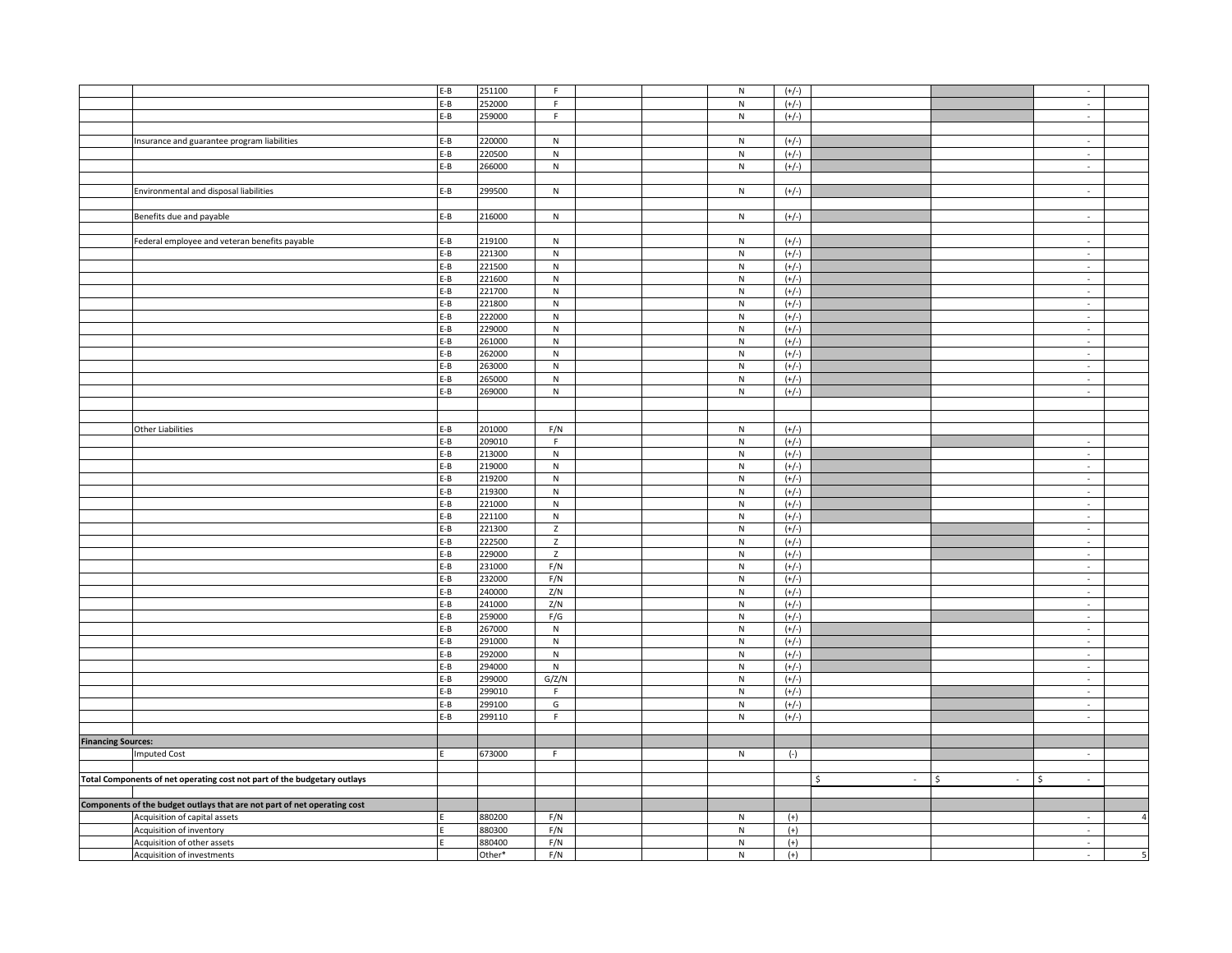|                           |                                                                          | $E-B$   | 251100 | $\mathsf F$    |  | ${\sf N}$      | $(+/-)$            |                     |                    | $\sim$                      |                          |
|---------------------------|--------------------------------------------------------------------------|---------|--------|----------------|--|----------------|--------------------|---------------------|--------------------|-----------------------------|--------------------------|
|                           |                                                                          | E-B     | 252000 | $\mathsf F$    |  | ${\sf N}$      | $(+/-)$            |                     |                    | $\overline{\phantom{a}}$    |                          |
|                           |                                                                          | $E-B$   | 259000 | F              |  | ${\sf N}$      | $(+/-)$            |                     |                    | $\mathcal{L}$               |                          |
|                           |                                                                          |         |        |                |  |                |                    |                     |                    |                             |                          |
|                           |                                                                          |         |        |                |  |                |                    |                     |                    |                             |                          |
|                           | Insurance and guarantee program liabilities                              | $E-B$   | 220000 | N              |  | ${\sf N}$      | $(+/-)$            |                     |                    | $\sim$                      |                          |
|                           |                                                                          | E-B     | 220500 | ${\sf N}$      |  | ${\sf N}$      | $(+/-)$            |                     |                    | $\sim$                      |                          |
|                           |                                                                          | $E-B$   | 266000 | N              |  | N              | $(+/-)$            |                     |                    | $\sim$                      |                          |
|                           |                                                                          |         |        |                |  |                |                    |                     |                    |                             |                          |
|                           | Environmental and disposal liabilities                                   | $E-B$   | 299500 | N              |  | N              | $(+/-)$            |                     |                    | $\mathcal{L}_{\mathcal{A}}$ |                          |
|                           |                                                                          |         |        |                |  |                |                    |                     |                    |                             |                          |
|                           | Benefits due and payable                                                 | $E-B$   | 216000 | ${\sf N}$      |  | ${\sf N}$      | $(+/-)$            |                     |                    | $\sim$                      |                          |
|                           |                                                                          |         |        |                |  |                |                    |                     |                    |                             |                          |
|                           | Federal employee and veteran benefits payable                            | $E-B$   | 219100 | N              |  | ${\sf N}$      | $(+/-)$            |                     |                    | $\sim$                      |                          |
|                           |                                                                          | $E-B$   | 221300 | N              |  | ${\sf N}$      |                    |                     |                    | $\sim$                      |                          |
|                           |                                                                          |         |        |                |  |                | $(+/-)$            |                     |                    |                             |                          |
|                           |                                                                          | $E-B$   | 221500 | N              |  | ${\sf N}$      | $(+/-)$            |                     |                    | $\sim$                      |                          |
|                           |                                                                          | E-B     | 221600 | ${\sf N}$      |  | ${\sf N}$      | $(+/-)$            |                     |                    | ÷,                          |                          |
|                           |                                                                          | E-B     | 221700 | ${\sf N}$      |  | ${\sf N}$      | $(+/-)$            |                     |                    | $\sim$                      |                          |
|                           |                                                                          | $E - B$ | 221800 | ${\sf N}$      |  | ${\sf N}$      | $(+/-)$            |                     |                    | $\sim$                      |                          |
|                           |                                                                          | $E-B$   | 222000 | N              |  | ${\sf N}$      | $(+/-)$            |                     |                    | $\sim$                      |                          |
|                           |                                                                          | $E-B$   | 229000 | N              |  | N              | $(+/-)$            |                     |                    | $\sim$                      |                          |
|                           |                                                                          | E-B     | 261000 | ${\sf N}$      |  | ${\sf N}$      | $(+/-)$            |                     |                    | $\sim$                      |                          |
|                           |                                                                          | E-B     | 262000 | ${\sf N}$      |  | ${\sf N}$      | $(+/-)$            |                     |                    | $\sim$                      |                          |
|                           |                                                                          | $E-B$   | 263000 | ${\sf N}$      |  | ${\sf N}$      | $(+/-)$            |                     |                    | $\mathcal{L}$               |                          |
|                           |                                                                          | $E-B$   | 265000 | ${\sf N}$      |  | ${\sf N}$      | $(+/-)$            |                     |                    | $\overline{\phantom{a}}$    |                          |
|                           |                                                                          | $E-B$   | 269000 | ${\sf N}$      |  | ${\sf N}$      | $(+/-)$            |                     |                    | $\sim$                      |                          |
|                           |                                                                          |         |        |                |  |                |                    |                     |                    |                             |                          |
|                           |                                                                          |         |        |                |  |                |                    |                     |                    |                             |                          |
|                           |                                                                          |         |        |                |  |                |                    |                     |                    |                             |                          |
|                           | <b>Other Liabilities</b>                                                 | $E-B$   | 201000 | F/N            |  | N              | $(+/-)$            |                     |                    |                             |                          |
|                           |                                                                          | $E-B$   | 209010 | $\mathsf F$    |  | N              | $(+/-)$            |                     |                    | $\sim$                      |                          |
|                           |                                                                          | E-B     | 213000 | ${\sf N}$      |  | ${\sf N}$      | $(+/-)$            |                     |                    | $\sim$                      |                          |
|                           |                                                                          | $E-B$   | 219000 | ${\sf N}$      |  | ${\sf N}$      | $(+/-)$            |                     |                    | ÷,                          |                          |
|                           |                                                                          | $E-B$   | 219200 | N              |  | ${\sf N}$      | $(+/-)$            |                     |                    | $\sim$                      |                          |
|                           |                                                                          | $E-B$   | 219300 | $\,$ N         |  | $\mathsf{N}$   | $(+/-)$            |                     |                    | $\sim$                      |                          |
|                           |                                                                          | $E-B$   | 221000 | ${\sf N}$      |  | ${\sf N}$      | $(+/-)$            |                     |                    | ÷,                          |                          |
|                           |                                                                          | E-B     | 221100 | $\overline{N}$ |  | $\overline{N}$ | $(+/-)$            |                     |                    | $\sim$                      |                          |
|                           |                                                                          | $E - B$ | 221300 | $\mathsf Z$    |  | ${\sf N}$      | $(+/-)$            |                     |                    | $\sim$                      |                          |
|                           |                                                                          | $E-B$   | 222500 | $\mathsf{Z}$   |  | ${\sf N}$      | $(+/-)$            |                     |                    | $\sim$                      |                          |
|                           |                                                                          | $E-B$   | 229000 | $\mathsf{Z}$   |  | $\mathsf{N}$   | $(+/-)$            |                     |                    | $\sim$                      |                          |
|                           |                                                                          | $E-B$   | 231000 | F/N            |  | ${\sf N}$      | $(+/-)$            |                     |                    | ÷,                          |                          |
|                           |                                                                          | $E-B$   | 232000 | F/N            |  | ${\sf N}$      | $(+/-)$            |                     |                    | $\sim$                      |                          |
|                           |                                                                          | $E-B$   | 240000 | Z/N            |  | ${\sf N}$      | $(+/-)$            |                     |                    | ÷.                          |                          |
|                           |                                                                          | $E-B$   | 241000 | Z/N            |  | ${\sf N}$      | $(+/-)$            |                     |                    | $\overline{\phantom{a}}$    |                          |
|                           |                                                                          | $E-B$   | 259000 | F/G            |  | N              |                    |                     |                    | $\sim$                      |                          |
|                           |                                                                          | E-B     | 267000 | ${\sf N}$      |  | ${\sf N}$      | $(+/-)$<br>$(+/-)$ |                     |                    | $\sim$                      |                          |
|                           |                                                                          |         |        |                |  |                |                    |                     |                    |                             |                          |
|                           |                                                                          | $E-B$   | 291000 | ${\sf N}$      |  | ${\sf N}$      | $(+/-)$            |                     |                    | $\sim$                      |                          |
|                           |                                                                          | $E-B$   | 292000 | $\,$ N         |  | ${\sf N}$      | $(+/-)$            |                     |                    | $\mathcal{L}$               |                          |
|                           |                                                                          | E-B     | 294000 | N              |  | ${\sf N}$      | $(+/-)$            |                     |                    | $\sim$                      |                          |
|                           |                                                                          | $E-B$   | 299000 | G/Z/N          |  | ${\sf N}$      | $(+/-)$            |                     |                    | $\mathcal{L}_{\mathcal{A}}$ |                          |
|                           |                                                                          | E-B     | 299010 | $\mathsf F$    |  | ${\sf N}$      | $(+/-)$            |                     |                    | $\overline{\phantom{a}}$    |                          |
|                           |                                                                          | E-B     | 299100 | G              |  | ${\sf N}$      | $(+/-)$            |                     |                    | $\sim$                      |                          |
|                           |                                                                          | $E-B$   | 299110 | $\mathsf F$    |  | ${\sf N}$      | $(+/-)$            |                     |                    | ÷.                          |                          |
|                           |                                                                          |         |        |                |  |                |                    |                     |                    |                             |                          |
| <b>Financing Sources:</b> |                                                                          |         |        |                |  |                |                    |                     |                    |                             |                          |
|                           | <b>Imputed Cost</b>                                                      |         | 673000 | $\mathsf F$    |  | ${\sf N}$      | $(-)$              |                     |                    | ä,                          |                          |
|                           |                                                                          |         |        |                |  |                |                    |                     |                    |                             |                          |
|                           | Total Components of net operating cost not part of the budgetary outlays |         |        |                |  |                |                    | \$<br>$\mathcal{L}$ | Ś<br>$\mathcal{L}$ | Ś.<br>$\sim$                |                          |
|                           |                                                                          |         |        |                |  |                |                    |                     |                    |                             |                          |
|                           | Components of the budget outlays that are not part of net operating cost |         |        |                |  |                |                    |                     |                    |                             |                          |
|                           | Acquisition of capital assets                                            |         | 880200 | F/N            |  | ${\sf N}$      | $(+)$              |                     |                    | $\sim$                      | $\overline{a}$           |
|                           | Acquisition of inventory                                                 |         | 880300 | F/N            |  | N              | $(+)$              |                     |                    | $\sim$                      |                          |
|                           | Acquisition of other assets                                              |         | 880400 | F/N            |  | ${\sf N}$      | $(+)$              |                     |                    | $\sim$                      |                          |
|                           | Acquisition of investments                                               |         | Other* | F/N            |  | ${\sf N}$      | $(+)$              |                     |                    | $\sim$                      | $\overline{\phantom{a}}$ |
|                           |                                                                          |         |        |                |  |                |                    |                     |                    |                             |                          |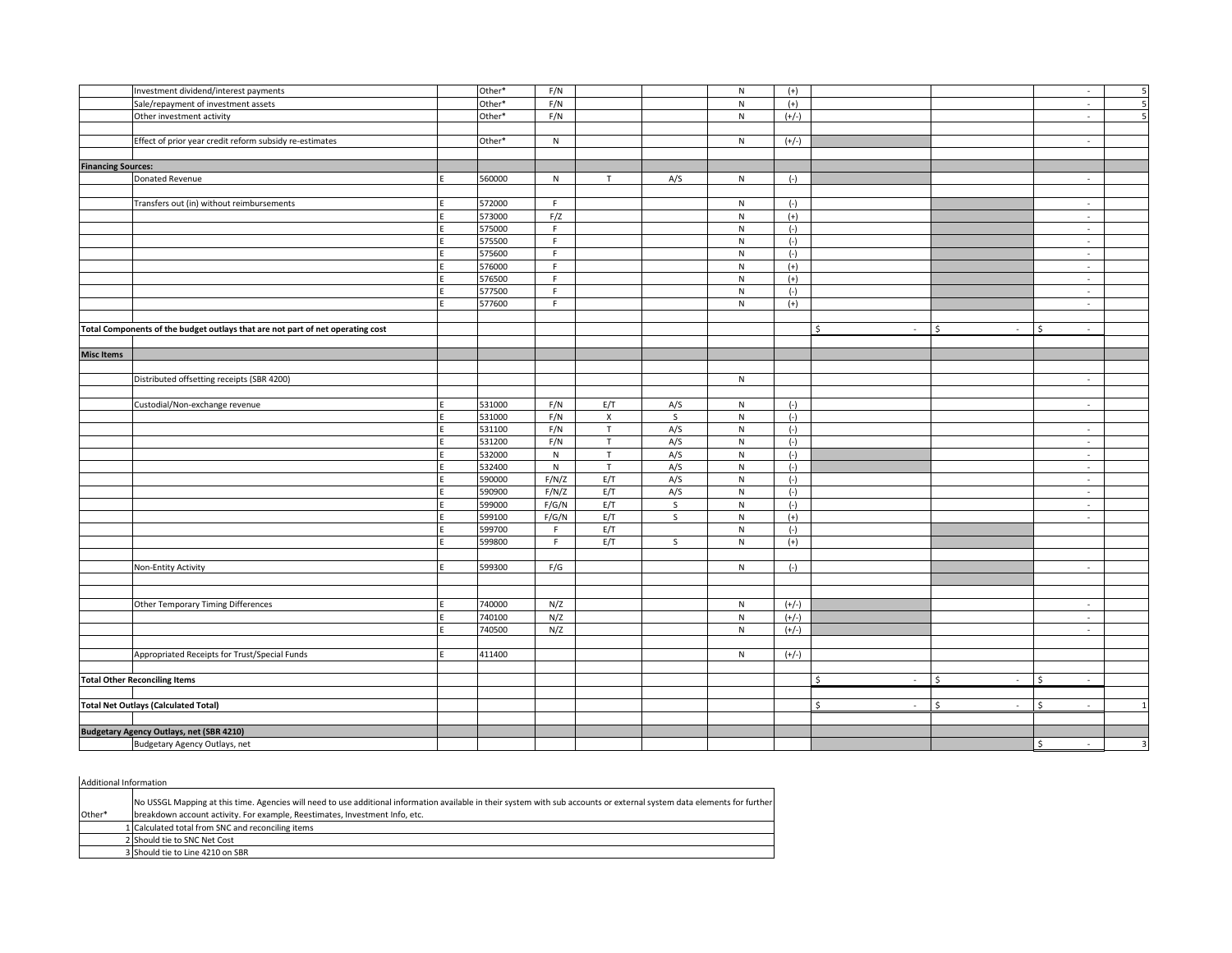|                           | Investment dividend/interest payments                                          | Other* | F/N          |              |              | ${\sf N}$    | $(+)$   |                                   |              | $\sim$       | 5                       |
|---------------------------|--------------------------------------------------------------------------------|--------|--------------|--------------|--------------|--------------|---------|-----------------------------------|--------------|--------------|-------------------------|
|                           | Sale/repayment of investment assets                                            | Other* | F/N          |              |              | ${\sf N}$    | $(+)$   |                                   |              | $\sim$       |                         |
|                           | Other investment activity                                                      | Other* | F/N          |              |              | ${\sf N}$    | $(+/-)$ |                                   |              | $\sim$       | 5                       |
|                           |                                                                                |        |              |              |              |              |         |                                   |              |              |                         |
|                           | Effect of prior year credit reform subsidy re-estimates                        | Other* | N            |              |              | N            | $(+/-)$ |                                   |              | $\sim$       |                         |
|                           |                                                                                |        |              |              |              |              |         |                                   |              |              |                         |
| <b>Financing Sources:</b> |                                                                                |        |              |              |              |              |         |                                   |              |              |                         |
|                           | Donated Revenue                                                                | 560000 | N            | T            | A/S          | N            | $(-)$   |                                   |              | $\sim$       |                         |
|                           |                                                                                |        |              |              |              |              |         |                                   |              |              |                         |
|                           | Transfers out (in) without reimbursements                                      | 572000 | F.           |              |              | N            | $(-)$   |                                   |              | $\sim$       |                         |
|                           |                                                                                | 573000 | F/Z          |              |              | ${\sf N}$    | $(+)$   |                                   |              | $\sim$       |                         |
|                           |                                                                                | 575000 | $\mathsf F$  |              |              | N            | $(-)$   |                                   |              | $\sim$       |                         |
|                           |                                                                                | 575500 | F            |              |              | ${\sf N}$    | $(-)$   |                                   |              | $\sim$       |                         |
|                           |                                                                                | 575600 | F            |              |              | N            | $(-)$   |                                   |              | $\sim$       |                         |
|                           |                                                                                | 576000 | F            |              |              | ${\sf N}$    | $(+)$   |                                   |              | $\sim$       |                         |
|                           |                                                                                | 576500 | F            |              |              | ${\sf N}$    | $(+)$   |                                   |              | $\sim$       |                         |
|                           |                                                                                | 577500 | F            |              |              | ${\sf N}$    | $(-)$   |                                   |              | $\sim$       |                         |
|                           |                                                                                | 577600 | F            |              |              | N            | $(+)$   |                                   |              | $\sim$       |                         |
|                           |                                                                                |        |              |              |              |              |         |                                   |              |              |                         |
|                           | Total Components of the budget outlays that are not part of net operating cost |        |              |              |              |              |         | \$<br>$\sim$                      | \$<br>$\sim$ | \$<br>$\sim$ |                         |
|                           |                                                                                |        |              |              |              |              |         |                                   |              |              |                         |
| <b>Misc Items</b>         |                                                                                |        |              |              |              |              |         |                                   |              |              |                         |
|                           |                                                                                |        |              |              |              |              |         |                                   |              |              |                         |
|                           | Distributed offsetting receipts (SBR 4200)                                     |        |              |              |              | N            |         |                                   |              | ä,           |                         |
|                           |                                                                                |        |              |              |              |              |         |                                   |              |              |                         |
|                           | Custodial/Non-exchange revenue                                                 | 531000 | F/N          | E/T          | A/S          | ${\sf N}$    | $(-)$   |                                   |              | $\sim$       |                         |
|                           |                                                                                | 531000 | F/N          | $\mathsf{X}$ | $\mathsf{S}$ | N            | $(-)$   |                                   |              |              |                         |
|                           |                                                                                | 531100 | F/N          | T            | A/S          | N            | $(-)$   |                                   |              | $\sim$       |                         |
|                           |                                                                                | 531200 | F/N          | T            | A/S          | $\mathsf{N}$ | $(-)$   |                                   |              | $\sim$       |                         |
|                           |                                                                                | 532000 | ${\sf N}$    | $\top$       | A/S          | ${\sf N}$    | $(-)$   |                                   |              | $\sim$       |                         |
|                           |                                                                                | 532400 | $\mathsf{N}$ | T            | A/S          | ${\sf N}$    | $(-)$   |                                   |              | $\sim$       |                         |
|                           |                                                                                | 590000 | F/N/Z        | E/T          | A/S          | ${\sf N}$    | $(-)$   |                                   |              | $\sim$       |                         |
|                           |                                                                                | 590900 | F/N/Z        | E/T          | A/S          | N            | $(-)$   |                                   |              | $\sim$       |                         |
|                           |                                                                                | 599000 | F/G/N        | E/T          | S            | ${\sf N}$    | $(-)$   |                                   |              | $\sim$       |                         |
|                           |                                                                                | 599100 | F/G/N        | E/T          | $\mathsf{S}$ | ${\sf N}$    | $(+)$   |                                   |              | $\sim$       |                         |
|                           |                                                                                | 599700 | F.           | E/T          |              | ${\sf N}$    | $(-)$   |                                   |              |              |                         |
|                           |                                                                                | 599800 | F.           | E/T          | S            | ${\sf N}$    | $(+)$   |                                   |              |              |                         |
|                           |                                                                                |        |              |              |              |              |         |                                   |              |              |                         |
|                           | Non-Entity Activity                                                            | 599300 | F/G          |              |              | N            | $(-)$   |                                   |              | $\sim$       |                         |
|                           |                                                                                |        |              |              |              |              |         |                                   |              |              |                         |
|                           |                                                                                |        |              |              |              |              |         |                                   |              |              |                         |
|                           | Other Temporary Timing Differences                                             | 740000 | N/Z          |              |              | N            | $(+/-)$ |                                   |              | $\sim$       |                         |
|                           |                                                                                | 740100 | N/Z          |              |              | N            | $(+/-)$ |                                   |              | $\sim$       |                         |
|                           |                                                                                | 740500 | N/Z          |              |              | ${\sf N}$    | $(+/-)$ |                                   |              | $\sim$       |                         |
|                           |                                                                                |        |              |              |              |              |         |                                   |              |              |                         |
|                           | Appropriated Receipts for Trust/Special Funds                                  | 411400 |              |              |              | N            | $(+/-)$ |                                   |              |              |                         |
|                           |                                                                                |        |              |              |              |              |         |                                   |              |              |                         |
|                           | <b>Total Other Reconciling Items</b>                                           |        |              |              |              |              |         | \$<br>$\sim$                      | Ŝ.<br>$\sim$ | \$<br>$\sim$ |                         |
|                           |                                                                                |        |              |              |              |              |         |                                   |              |              |                         |
|                           | <b>Total Net Outlays (Calculated Total)</b>                                    |        |              |              |              |              |         | \$<br>$\mathcal{L}_{\mathcal{A}}$ | \$<br>$\sim$ | \$<br>$\sim$ |                         |
|                           |                                                                                |        |              |              |              |              |         |                                   |              |              |                         |
|                           | <b>Budgetary Agency Outlays, net (SBR 4210)</b>                                |        |              |              |              |              |         |                                   |              |              |                         |
|                           | Budgetary Agency Outlays, net                                                  |        |              |              |              |              |         |                                   |              | \$<br>$\sim$ | $\overline{\mathbf{3}}$ |

Additional Information

|         | No USSGL Mapping at this time. Agencies will need to use additional information available in their system with sub accounts or external system data elements for further |
|---------|--------------------------------------------------------------------------------------------------------------------------------------------------------------------------|
| lOther* | breakdown account activity. For example, Reestimates, Investment Info, etc.                                                                                              |
|         | 1 Calculated total from SNC and reconciling items                                                                                                                        |
|         | 2 Should tie to SNC Net Cost                                                                                                                                             |
|         | 3 Should tie to Line 4210 on SBR                                                                                                                                         |